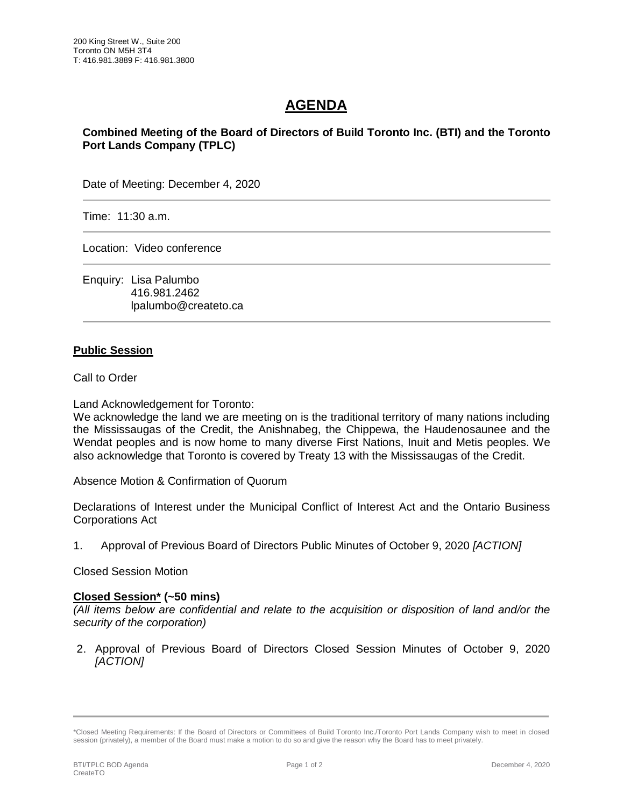## **AGENDA**

**Combined Meeting of the Board of Directors of Build Toronto Inc. (BTI) and the Toronto Port Lands Company (TPLC)**

Date of Meeting: December 4, 2020

Time: 11:30 a.m.

Location: Video conference

Enquiry: Lisa Palumbo 416.981.2462 lpalumbo@createto.ca

## **Public Session**

Call to Order

Land Acknowledgement for Toronto:

We acknowledge the land we are meeting on is the traditional territory of many nations including the Mississaugas of the Credit, the Anishnabeg, the Chippewa, the Haudenosaunee and the Wendat peoples and is now home to many diverse First Nations, Inuit and Metis peoples. We also acknowledge that Toronto is covered by Treaty 13 with the Mississaugas of the Credit.

Absence Motion & Confirmation of Quorum

Declarations of Interest under the Municipal Conflict of Interest Act and the Ontario Business Corporations Act

1. Approval of Previous Board of Directors Public Minutes of October 9, 2020 *[ACTION]* 

Closed Session Motion

## **Closed Session\* (~50 mins)**

*(All items below are confidential and relate to the acquisition or disposition of land and/or the security of the corporation)*

2. Approval of Previous Board of Directors Closed Session Minutes of October 9, 2020 *[ACTION]* 

<sup>\*</sup>Closed Meeting Requirements: If the Board of Directors or Committees of Build Toronto Inc./Toronto Port Lands Company wish to meet in closed session (privately), a member of the Board must make a motion to do so and give the reason why the Board has to meet privately.